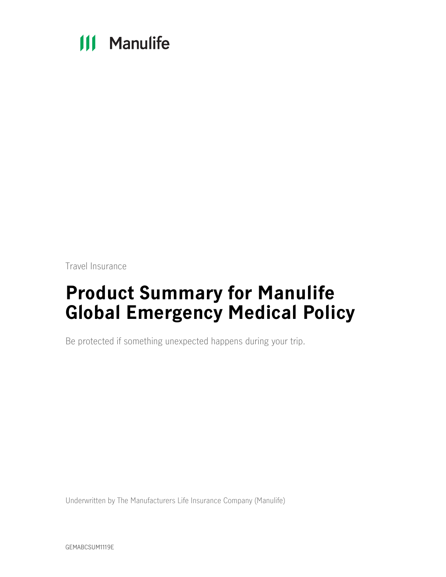# **111 Manulife**

Travel Insurance

# **Product Summary for Manulife Global Emergency Medical Policy**

Be protected if something unexpected happens during your trip.

Underwritten by The Manufacturers Life Insurance Company (Manulife)

GEMABCSUM1119E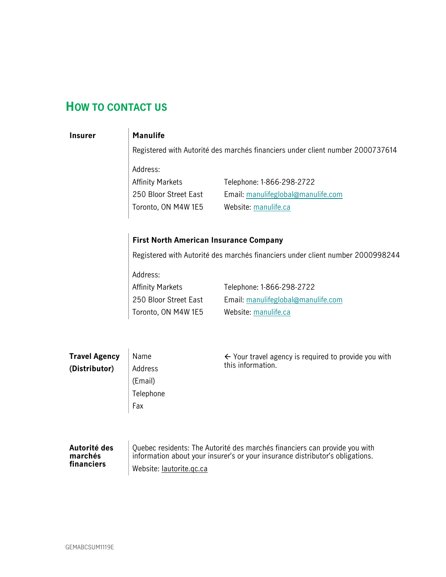### <span id="page-1-0"></span>**HOW TO CONTACT US**

#### **Insurer Manulife**

Registered with Autorité des marchés financiers under client number 2000737614

Address: Affinity Markets

250 Bloor Street East Toronto, ON M4W 1E5 Telephone: 1-866-298-2722 Email: manulifeglobal@manulife.com Website: [manulife.ca](http://manulife.ca/)

#### **First North American Insurance Company**

Registered with Autorité des marchés financiers under client number 2000998244

Address: Affinity Markets 250 Bloor Street East

Toronto, ON M4W 1E5

Telephone: 1-866-298-2722 Email: manulifeglobal@manulife.com Website: [manulife.ca](http://manulife.ca/)

| <b>Travel Agency</b> | Name      | $\leftarrow$ Your travel agency is required to provide you with            |  |  |
|----------------------|-----------|----------------------------------------------------------------------------|--|--|
| (Distributor)        | Address   | this information.                                                          |  |  |
|                      | (Email)   |                                                                            |  |  |
|                      | Telephone |                                                                            |  |  |
|                      | Fax       |                                                                            |  |  |
|                      |           |                                                                            |  |  |
|                      |           |                                                                            |  |  |
| Autorité des         |           | Quebec residents: The Autorité des marchés financiers can provide you with |  |  |

### **marchés financiers**

Quebec residents: The Autorité des marchés financiers can provide you with information about your insurer's or your insurance distributor's obligations. Website: [lautorite.qc.ca](https://lautorite.qc.ca/)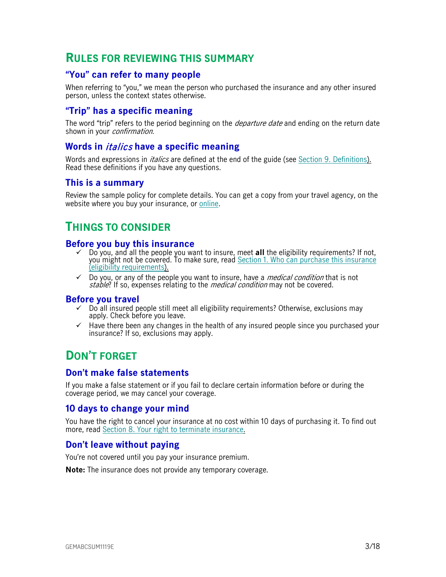### <span id="page-2-0"></span>**RULES FOR REVIEWING THIS SUMMARY**

#### <span id="page-2-1"></span>**"You" can refer to many people**

When referring to "you," we mean the person who purchased the insurance and any other insured person, unless the context states otherwise.

#### <span id="page-2-2"></span>**"Trip" has a specific meaning**

The word "trip" refers to the period beginning on the *departure date* and ending on the return date shown in your *confirmation*.

#### <span id="page-2-3"></span>**Words in** italics **have a specific meaning**

Words and expressions in *italics* are defined at the end of the guide (see Section [9. Definitions\)](#page-15-0). Read these definitions if you have any questions.

#### <span id="page-2-4"></span>**This is a summary**

Review the sample policy for complete details. You can get a copy from your travel agency, on the website where you buy your insurance, or [online.](https://www.igoinsured.com/travelcontent/?file=MS-MC_MS-EMU_policyEMED.pdf)

### <span id="page-2-5"></span>**THINGS TO CONSIDER**

#### <span id="page-2-6"></span>**Before you buy this insurance**

- Do you, and all the people you want to insure, meet **all** the eligibility requirements? If not, you might not be covered. To make sure, read Section [1. Who can purchase this insurance](#page-4-0)  [\(eligibility requirements\)](#page-4-0).
- $\checkmark$  Do you, or any of the people you want to insure, have a *medical condition* that is not stable? If so, expenses relating to the *medical condition* may not be covered.

#### <span id="page-2-7"></span>**Before you travel**

- $\checkmark$  Do all insured people still meet all eligibility requirements? Otherwise, exclusions may apply. Check before you leave.
- $\checkmark$  Have there been any changes in the health of any insured people since you purchased your insurance? If so, exclusions may apply.

### <span id="page-2-8"></span>**DON'T FORGET**

#### <span id="page-2-9"></span>**Don't make false statements**

If you make a false statement or if you fail to declare certain information before or during the coverage period, we may cancel your coverage.

#### <span id="page-2-10"></span>**10 days to change your mind**

You have the right to cancel your insurance at no cost within 10 days of purchasing it. To find out more, read [Section 8. Your right to terminate insurance.](#page-14-0)

#### <span id="page-2-11"></span>**Don't leave without paying**

You're not covered until you pay your insurance premium.

**Note:** The insurance does not provide any temporary coverage.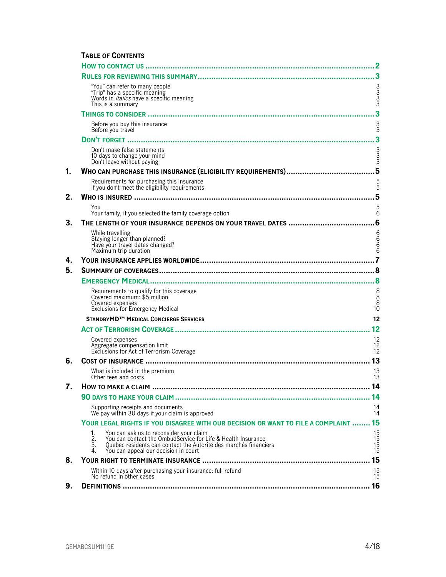#### **TABLE OF CONTENTS**

|    | "You" can refer to many people<br>"Trip" has a specific meaning<br>Words in <i>italics</i> have a specific meaning<br>This is a summary                                                                                                     | 3333                                     |
|----|---------------------------------------------------------------------------------------------------------------------------------------------------------------------------------------------------------------------------------------------|------------------------------------------|
|    |                                                                                                                                                                                                                                             | 3                                        |
|    | Before you buy this insurance<br>Before you travel                                                                                                                                                                                          | $\frac{3}{3}$                            |
|    |                                                                                                                                                                                                                                             | 3                                        |
|    | Don't make false statements<br>10 days to change your mind<br>Don't leave without paying                                                                                                                                                    | 3<br>3<br>3                              |
| 1. |                                                                                                                                                                                                                                             | 5                                        |
|    | Requirements for purchasing this insurance<br>If you don't meet the eligibility requirements                                                                                                                                                | $\frac{5}{5}$                            |
| 2. |                                                                                                                                                                                                                                             |                                          |
|    | You<br>Your family, if you selected the family coverage option                                                                                                                                                                              | 5<br>6                                   |
| 3. |                                                                                                                                                                                                                                             |                                          |
|    | While travelling<br>Staying longer than planned?<br>Have your travel dates changed?<br>Maximum trip duration                                                                                                                                | 6<br>6<br>6<br>$\overline{6}$            |
| 4. |                                                                                                                                                                                                                                             |                                          |
| 5. |                                                                                                                                                                                                                                             |                                          |
|    |                                                                                                                                                                                                                                             |                                          |
|    | Requirements to qualify for this coverage<br>Covered maximum: \$5 million<br>Covered expenses<br><b>Exclusions for Emergency Medical</b>                                                                                                    | 8<br>$\overline{8}$<br>10                |
|    | STANDBYMD <sup>™</sup> MEDICAL CONCIERGE SERVICES                                                                                                                                                                                           | 12                                       |
|    |                                                                                                                                                                                                                                             | 12                                       |
|    | Covered expenses<br>Aggregate compensation limit<br>Exclusions for Act of Terrorism Coverage                                                                                                                                                | 12<br>12<br>12                           |
| 6. |                                                                                                                                                                                                                                             | 13                                       |
|    | What is included in the premium<br>Other fees and costs                                                                                                                                                                                     | 13<br>13                                 |
|    | HOW TO MAKE A CLAIM                                                                                                                                                                                                                         | 14                                       |
|    |                                                                                                                                                                                                                                             |                                          |
|    | Supporting receipts and documents<br>We pay within 30 days if your claim is approved                                                                                                                                                        | 14<br>14                                 |
|    | YOUR LEGAL RIGHTS IF YOU DISAGREE WITH OUR DECISION OR WANT TO FILE A COMPLAINT  15                                                                                                                                                         |                                          |
|    | You can ask us to reconsider your claim<br>1.<br>You can contact the OmbudService for Life & Health Insurance<br>2.<br>Quebec residents can contact the Autorité des marchés financiers<br>3.<br>You can appeal our decision in court<br>4. | 15<br>$\frac{15}{15}$<br>$\frac{15}{15}$ |
| 8. |                                                                                                                                                                                                                                             | 15                                       |
|    | Within 10 days after purchasing your insurance: full refund<br>No refund in other cases                                                                                                                                                     | $\frac{15}{15}$                          |
| 9. |                                                                                                                                                                                                                                             | 16                                       |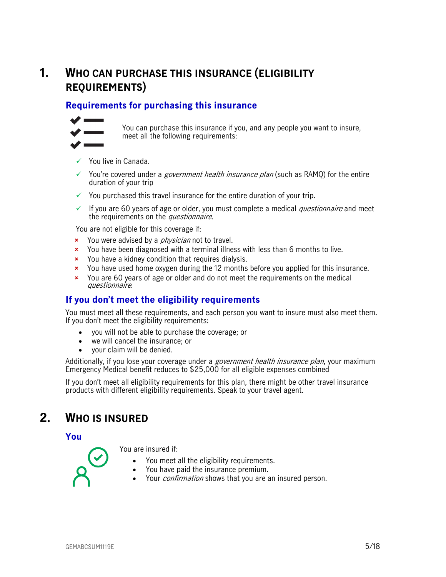### <span id="page-4-0"></span>**1. WHO CAN PURCHASE THIS INSURANCE (ELIGIBILITY REQUIREMENTS)**

### <span id="page-4-1"></span>**Requirements for purchasing this insurance**



You can purchase this insurance if you, and any people you want to insure, meet all the following requirements:

- $\checkmark$  You live in Canada.
- $\checkmark$  You're covered under a *government health insurance plan* (such as RAMQ) for the entire duration of your trip
- $\checkmark$  You purchased this travel insurance for the entire duration of your trip.
- $\checkmark$  If you are 60 years of age or older, you must complete a medical *questionnaire* and meet the requirements on the *questionnaire*.

You are not eligible for this coverage if:

- **x** You were advised by a *physician* not to travel.
- You have been diagnosed with a terminal illness with less than 6 months to live.
- **x** You have a kidney condition that requires dialysis.
- You have used home oxygen during the 12 months before you applied for this insurance.
- You are 60 years of age or older and do not meet the requirements on the medical questionnaire.

#### <span id="page-4-2"></span>**If you don't meet the eligibility requirements**

You must meet all these requirements, and each person you want to insure must also meet them. If you don't meet the eligibility requirements:

- you will not be able to purchase the coverage; or
- we will cancel the insurance; or
- your claim will be denied.

Additionally, if you lose your coverage under a *government health insurance plan*, your maximum Emergency Medical benefit reduces to \$25,000 for all eligible expenses combined

<span id="page-4-3"></span>If you don't meet all eligibility requirements for this plan, there might be other travel insurance products with different eligibility requirements. Speak to your travel agent.

### **2. WHO IS INSURED**

<span id="page-4-4"></span>**You**

You are insured if:

- You meet all the eligibility requirements.
- You have paid the insurance premium.
- Your *confirmation* shows that you are an insured person.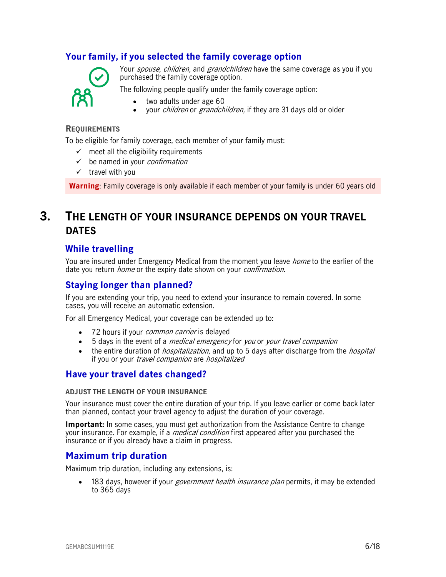#### <span id="page-5-0"></span>**Your family, if you selected the family coverage option**



Your *spouse, children,* and *grandchildren* have the same coverage as you if you purchased the family coverage option.

The following people qualify under the family coverage option:

- two adults under age 60
- vour *children* or *grandchildren*, if they are 31 days old or older

#### **REQUIREMENTS**

To be eligible for family coverage, each member of your family must:

- $\checkmark$  meet all the eligibility requirements
- $\checkmark$  be named in your *confirmation*
- $\checkmark$  travel with you

<span id="page-5-1"></span>**Warning**: Family coverage is only available if each member of your family is under 60 years old

### **3. THE LENGTH OF YOUR INSURANCE DEPENDS ON YOUR TRAVEL DATES**

#### <span id="page-5-2"></span>**While travelling**

You are insured under Emergency Medical from the moment you leave *home* to the earlier of the date you return *home* or the expiry date shown on your *confirmation*.

#### <span id="page-5-3"></span>**Staying longer than planned?**

If you are extending your trip, you need to extend your insurance to remain covered. In some cases, you will receive an automatic extension.

For all Emergency Medical, your coverage can be extended up to:

- 72 hours if your *common carrier* is delayed
- 5 days in the event of a *medical emergency* for you or your travel companion
- the entire duration of *hospitalization*, and up to 5 days after discharge from the *hospital* if you or your travel companion are hospitalized

#### <span id="page-5-4"></span>**Have your travel dates changed?**

#### **ADJUST THE LENGTH OF YOUR INSURANCE**

Your insurance must cover the entire duration of your trip. If you leave earlier or come back later than planned, contact your travel agency to adjust the duration of your coverage.

**Important:** In some cases, you must get authorization from the Assistance Centre to change your insurance. For example, if a *medical condition* first appeared after you purchased the insurance or if you already have a claim in progress.

#### <span id="page-5-5"></span>**Maximum trip duration**

Maximum trip duration, including any extensions, is:

• 183 days, however if your *government health insurance plan* permits, it may be extended to 365 days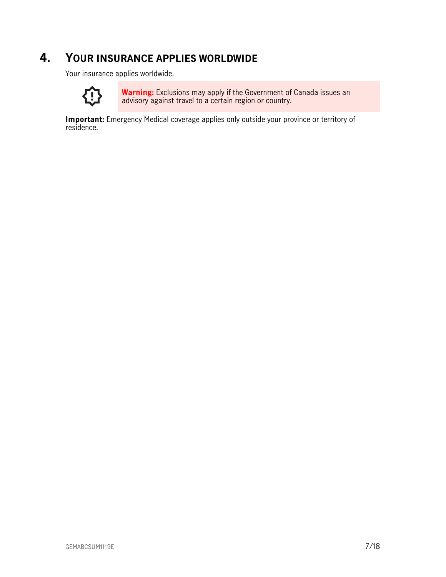### **4. YOUR INSURANCE APPLIES WORLDWIDE**

<span id="page-6-0"></span>Your insurance applies worldwide.



**Warning:** Exclusions may apply if the Government of Canada issues an advisory against travel to a certain region or country.

**Important:** Emergency Medical coverage applies only outside your province or territory of residence.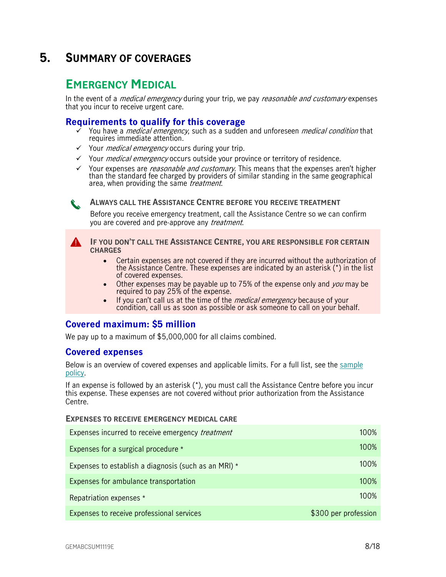### <span id="page-7-0"></span>**5. SUMMARY OF COVERAGES**

### <span id="page-7-1"></span>**EMERGENCY MEDICAL**

In the event of a *medical emergency* during your trip, we pay *reasonable and customary* expenses that you incur to receive urgent care.

#### <span id="page-7-2"></span>**Requirements to qualify for this coverage**

- You have a *medical emergency*, such as a sudden and unforeseen *medical condition* that requires immediate attention.
- $\checkmark$  Your *medical emergency* occurs during your trip.
- $\checkmark$  Your *medical emergency* occurs outside your province or territory of residence.
- $\checkmark$  Your expenses are *reasonable and customary*. This means that the expenses aren't higher than the standard fee charged by providers of similar standing in the same geographical area, when providing the same *treatment*.

**ALWAYS CALL THE ASSISTANCE CENTRE BEFORE YOU RECEIVE TREATMENT**

Before you receive emergency treatment, call the Assistance Centre so we can confirm you are covered and pre-approve any *treatment*.

**IF YOU DON'T CALL THE ASSISTANCE CENTRE, YOU ARE RESPONSIBLE FOR CERTAIN CHARGES** 

- Certain expenses are not covered if they are incurred without the authorization of the Assistance Centre. These expenses are indicated by an asterisk (\*) in the list of covered expenses.
- Other expenses may be payable up to 75% of the expense only and you may be required to pay 25% of the expense.
- If you can't call us at the time of the *medical emergency* because of your condition, call us as soon as possible or ask someone to call on your behalf.

#### <span id="page-7-3"></span>**Covered maximum: \$5 million**

We pay up to a maximum of \$5,000,000 for all claims combined.

#### <span id="page-7-4"></span>**Covered expenses**

Below is an overview of covered expenses and applicable limits. For a full list, see the [sample](https://www.igoinsured.com/travelcontent/?file=MS-MC_MS-EMU_policyEMED.pdf)  [policy.](https://www.igoinsured.com/travelcontent/?file=MS-MC_MS-EMU_policyEMED.pdf)

If an expense is followed by an asterisk (\*), you must call the Assistance Centre before you incur this expense. These expenses are not covered without prior authorization from the Assistance Centre.

#### **EXPENSES TO RECEIVE EMERGENCY MEDICAL CARE**

| Expenses incurred to receive emergency <i>treatment</i> | 100%                 |
|---------------------------------------------------------|----------------------|
| Expenses for a surgical procedure *                     | 100%                 |
| Expenses to establish a diagnosis (such as an MRI) *    | 100%                 |
| Expenses for ambulance transportation                   | 100%                 |
| Repatriation expenses *                                 | 100%                 |
| Expenses to receive professional services               | \$300 per profession |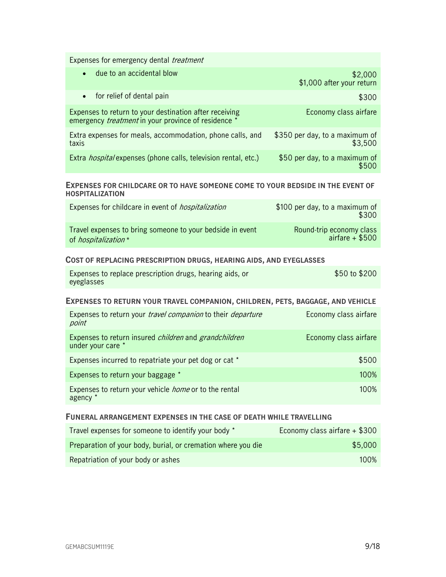Expenses for emergency dental *treatment* 

| due to an accidental blow<br>$\bullet$                                                                               | \$2,000<br>\$1,000 after your return      |
|----------------------------------------------------------------------------------------------------------------------|-------------------------------------------|
| • for relief of dental pain                                                                                          | \$300                                     |
| Expenses to return to your destination after receiving<br>emergency <i>treatment</i> in your province of residence * | Economy class airfare                     |
| Extra expenses for meals, accommodation, phone calls, and<br>taxis                                                   | \$350 per day, to a maximum of<br>\$3,500 |
| Extra <i>hospital</i> expenses (phone calls, television rental, etc.)                                                | \$50 per day, to a maximum of             |

#### **EXPENSES FOR CHILDCARE OR TO HAVE SOMEONE COME TO YOUR BEDSIDE IN THE EVENT OF HOSPITALIZATION**

| Expenses for childcare in event of <i>hospitalization</i> | \$100 per day, to a maximum of<br>\$300 |
|-----------------------------------------------------------|-----------------------------------------|
| Travel expenses to bring someone to your bedside in event | Round-trip economy class                |
| of <i>hospitalization</i> *                               | airfare $+$ \$500                       |

#### **COST OF REPLACING PRESCRIPTION DRUGS, HEARING AIDS, AND EYEGLASSES**

| Expenses to replace prescription drugs, hearing aids, or | \$50 to \$200 |
|----------------------------------------------------------|---------------|
| eyeglasses                                               |               |

#### **EXPENSES TO RETURN YOUR TRAVEL COMPANION, CHILDREN, PETS, BAGGAGE, AND VEHICLE**

| Expenses to return your <i>travel companion</i> to their <i>departure</i><br>point       | Economy class airfare |
|------------------------------------------------------------------------------------------|-----------------------|
| Expenses to return insured <i>children</i> and <i>grandchildren</i><br>under your care * | Economy class airfare |
| Expenses incurred to repatriate your pet dog or cat *                                    | \$500                 |
| Expenses to return your baggage *                                                        | 100%                  |
| Expenses to return your vehicle <i>home</i> or to the rental<br>agency *                 | $100\%$               |

#### **FUNERAL ARRANGEMENT EXPENSES IN THE CASE OF DEATH WHILE TRAVELLING**

| Travel expenses for someone to identify your body *          | Economy class airfare + \$300 |
|--------------------------------------------------------------|-------------------------------|
| Preparation of your body, burial, or cremation where you die | \$5.000                       |
| Repatriation of your body or ashes                           | $100\%$                       |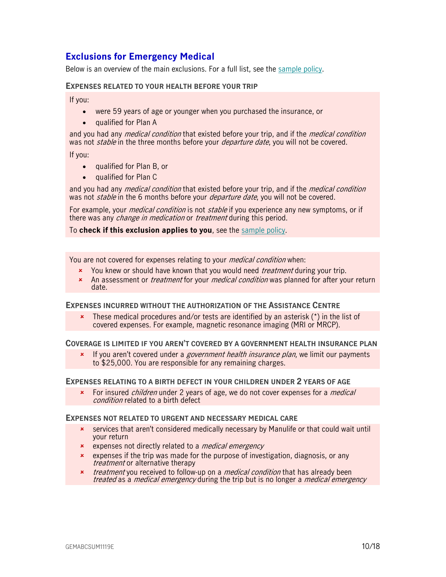### <span id="page-9-0"></span>**Exclusions for Emergency Medical**

Below is an overview of the main exclusions. For a full list, see the [sample policy.](https://www.igoinsured.com/travelcontent/?file=MS-MC_MS-EMU_policyEMED.pdf)

#### **EXPENSES RELATED TO YOUR HEALTH BEFORE YOUR TRIP**

If you:

- were 59 years of age or younger when you purchased the insurance, or
- qualified for Plan A

and you had any *medical condition* that existed before your trip, and if the *medical condition* was not *stable* in the three months before your *departure date*, you will not be covered.

If you:

- qualified for Plan B, or
- qualified for Plan C

and you had any *medical condition* that existed before your trip, and if the *medical condition* was not *stable* in the 6 months before your *departure date*, you will not be covered.

For example, your *medical condition* is not *stable* if you experience any new symptoms, or if there was any *change in medication* or *treatment* during this period.

To **check if this exclusion applies to you**, see the [sample policy.](https://www.igoinsured.com/travelcontent/?file=MS-MC_MS-EMU_policyEMED.pdf)

You are not covered for expenses relating to your *medical condition* when:

- **x** You knew or should have known that you would need *treatment* during your trip.
- \* An assessment or *treatment* for your *medical condition* was planned for after your return date.

#### **EXPENSES INCURRED WITHOUT THE AUTHORIZATION OF THE ASSISTANCE CENTRE**

 These medical procedures and/or tests are identified by an asterisk (\*) in the list of covered expenses. For example, magnetic resonance imaging (MRI or MRCP).

**COVERAGE IS LIMITED IF YOU AREN'T COVERED BY A GOVERNMENT HEALTH INSURANCE PLAN** 

 $\star$  If you aren't covered under a *government health insurance plan*, we limit our payments to \$25,000. You are responsible for any remaining charges.

#### **EXPENSES RELATING TO A BIRTH DEFECT IN YOUR CHILDREN UNDER 2 YEARS OF AGE**

For insured *children* under 2 years of age, we do not cover expenses for a *medical* condition related to a birth defect

#### **EXPENSES NOT RELATED TO URGENT AND NECESSARY MEDICAL CARE**

- services that aren't considered medically necessary by Manulife or that could wait until your return
- **\*** expenses not directly related to a *medical emergency*
- **\*** expenses if the trip was made for the purpose of investigation, diagnosis, or any treatment or alternative therapy
- **x** *treatment* you received to follow-up on a *medical condition* that has already been treated as a *medical emergency* during the trip but is no longer a *medical emergency*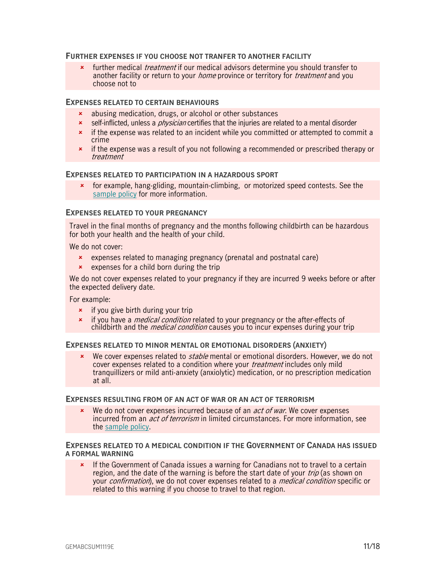#### **FURTHER EXPENSES IF YOU CHOOSE NOT TRANFER TO ANOTHER FACILITY**

**\*** further medical *treatment* if our medical advisors determine you should transfer to another facility or return to your *home* province or territory for *treatment* and you choose not to

#### **EXPENSES RELATED TO CERTAIN BEHAVIOURS**

- abusing medication, drugs, or alcohol or other substances
- self-inflicted, unless a *physician* certifies that the injuries are related to a mental disorder
- \* if the expense was related to an incident while you committed or attempted to commit a crime
- **\*** if the expense was a result of you not following a recommended or prescribed therapy or treatment

#### **EXPENSES RELATED TO PARTICIPATION IN A HAZARDOUS SPORT**

 for example, hang-gliding, mountain-climbing, or motorized speed contests. See the [sample policy](https://www.igoinsured.com/travelcontent/?file=MS-MC_MS-EMU_policyEMED.pdf) for more information.

#### **EXPENSES RELATED TO YOUR PREGNANCY**

Travel in the final months of pregnancy and the months following childbirth can be hazardous for both your health and the health of your child.

We do not cover:

- expenses related to managing pregnancy (prenatal and postnatal care)
- $\star$  expenses for a child born during the trip

We do not cover expenses related to your pregnancy if they are incurred 9 weeks before or after the expected delivery date.

For example:

- $\frac{1}{\epsilon}$  if you give birth during your trip
- **EXECT** if you have a *medical condition* related to your pregnancy or the after-effects of childbirth and the *medical condition* causes you to incur expenses during your trip

#### **EXPENSES RELATED TO MINOR MENTAL OR EMOTIONAL DISORDERS (ANXIETY)**

 $\star$  We cover expenses related to *stable* mental or emotional disorders. However, we do not cover expenses related to a condition where your *treatment* includes only mild tranquillizers or mild anti-anxiety (anxiolytic) medication, or no prescription medication at all.

#### **EXPENSES RESULTING FROM OF AN ACT OF WAR OR AN ACT OF TERRORISM**

 $\star$  We do not cover expenses incurred because of an *act of war*. We cover expenses incurred from an *act of terrorism* in limited circumstances. For more information, see the [sample policy.](https://www.igoinsured.com/travelcontent/?file=MS-MC_MS-EMU_policyEMED.pdf)

#### **EXPENSES RELATED TO A MEDICAL CONDITION IF THE GOVERNMENT OF CANADA HAS ISSUED A FORMAL WARNING**

\* If the Government of Canada issues a warning for Canadians not to travel to a certain region, and the date of the warning is before the start date of your *trip* (as shown on your *confirmation*), we do not cover expenses related to a *medical condition* specific or related to this warning if you choose to travel to that region.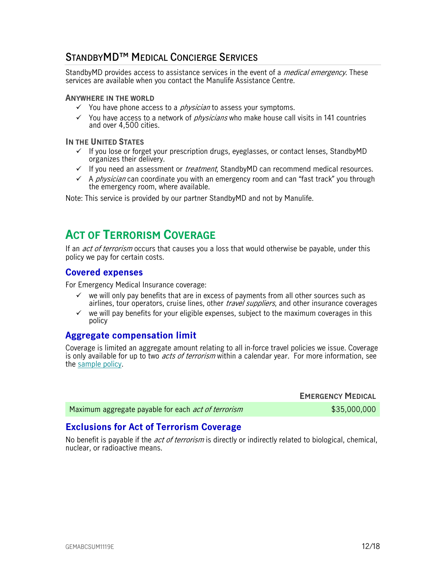### <span id="page-11-0"></span>**STANDBYMD™ MEDICAL CONCIERGE SERVICES**

StandbyMD provides access to assistance services in the event of a *medical emergency*. These services are available when you contact the Manulife Assistance Centre.

#### **ANYWHERE IN THE WORLD**

- $\checkmark$  You have phone access to a *physician* to assess your symptoms.
- $\checkmark$  You have access to a network of *physicians* who make house call visits in 141 countries and over 4,500 cities.

#### **IN THE UNITED STATES**

- If you lose or forget your prescription drugs, eyeglasses, or contact lenses, StandbyMD organizes their delivery.
- $\checkmark$  If you need an assessment or *treatment*, StandbyMD can recommend medical resources.
- $\checkmark$  A *physician* can coordinate you with an emergency room and can "fast track" you through the emergency room, where available.

<span id="page-11-1"></span>Note: This service is provided by our partner StandbyMD and not by Manulife.

### **ACT OF TERRORISM COVERAGE**

If an *act of terrorism* occurs that causes you a loss that would otherwise be payable, under this policy we pay for certain costs.

#### <span id="page-11-2"></span>**Covered expenses**

For Emergency Medical Insurance coverage:

- $\checkmark$  we will only pay benefits that are in excess of payments from all other sources such as airlines, tour operators, cruise lines, other *travel suppliers*, and other insurance coverages
- $\checkmark$  we will pay benefits for your eligible expenses, subject to the maximum coverages in this policy

#### <span id="page-11-3"></span>**Aggregate compensation limit**

Coverage is limited an aggregate amount relating to all in-force travel policies we issue. Coverage is only available for up to two *acts of terrorism* within a calendar year. For more information, see the [sample policy.](https://www.igoinsured.com/travelcontent/?file=MS-MC_MS-EMU_policyEMED.pdf)

|                                                            | <b>EMERGENCY MEDICAL</b> |
|------------------------------------------------------------|--------------------------|
| Maximum aggregate payable for each <i>act of terrorism</i> | \$35,000,000             |

#### <span id="page-11-4"></span>**Exclusions for Act of Terrorism Coverage**

No benefit is payable if the *act of terrorism* is directly or indirectly related to biological, chemical, nuclear, or radioactive means.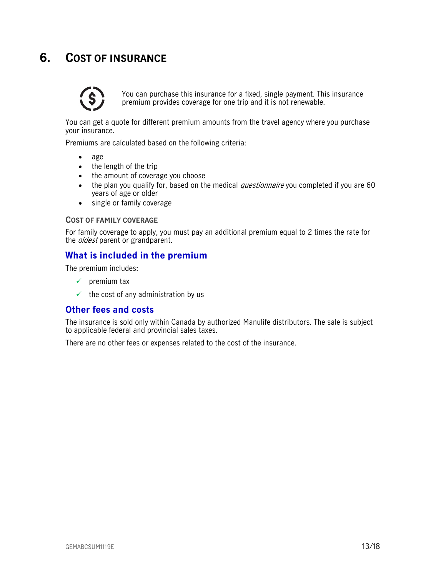## <span id="page-12-0"></span>**6. COST OF INSURANCE**



You can purchase this insurance for a fixed, single payment. This insurance premium provides coverage for one trip and it is not renewable.

You can get a quote for different premium amounts from the travel agency where you purchase your insurance.

Premiums are calculated based on the following criteria:

- age
- the length of the trip
- the amount of coverage you choose
- the plan you qualify for, based on the medical *questionnaire* you completed if you are 60 years of age or older
- single or family coverage

#### **COST OF FAMILY COVERAGE**

For family coverage to apply, you must pay an additional premium equal to 2 times the rate for the *oldest* parent or grandparent.

#### <span id="page-12-1"></span>**What is included in the premium**

The premium includes:

- $\checkmark$  premium tax
- $\checkmark$  the cost of any administration by us

#### <span id="page-12-2"></span>**Other fees and costs**

The insurance is sold only within Canada by authorized Manulife distributors. The sale is subject to applicable federal and provincial sales taxes.

There are no other fees or expenses related to the cost of the insurance.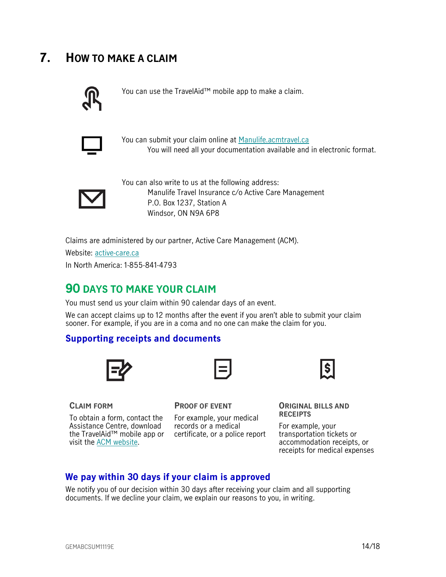## <span id="page-13-0"></span>**7. HOW TO MAKE A CLAIM**



You can use the TravelAid™ mobile app to make a claim.



You can submit your claim online at [Manulife.acmtravel.ca](https://manulife.acmtravel.ca/accounts/login/) You will need all your documentation available and in electronic format.



You can also write to us at the following address: Manulife Travel Insurance c/o Active Care Management P.O. Box 1237, Station A Windsor, ON N9A 6P8

Claims are administered by our partner, Active Care Management (ACM).

Website: [active-care.ca](http://www.active-care.ca/)

In North America: 1-855-841-4793

### <span id="page-13-1"></span>**90 DAYS TO MAKE YOUR CLAIM**

You must send us your claim within 90 calendar days of an event.

We can accept claims up to 12 months after the event if you aren't able to submit your claim sooner. For example, if you are in a coma and no one can make the claim for you.

#### <span id="page-13-2"></span>**Supporting receipts and documents**





**CLAIM FORM**

To obtain a form, contact the Assistance Centre, download the TravelAid™ mobile app or certificate, or a police report visit the [ACM website.](https://www.active-care.ca/claims/)

#### **PROOF OF EVENT**

For example, your medical records or a medical



**ORIGINAL BILLS AND RECEIPTS** 

For example, your transportation tickets or accommodation receipts, or receipts for medical expenses

#### <span id="page-13-3"></span>**We pay within 30 days if your claim is approved**

We notify you of our decision within 30 days after receiving your claim and all supporting documents. If we decline your claim, we explain our reasons to you, in writing.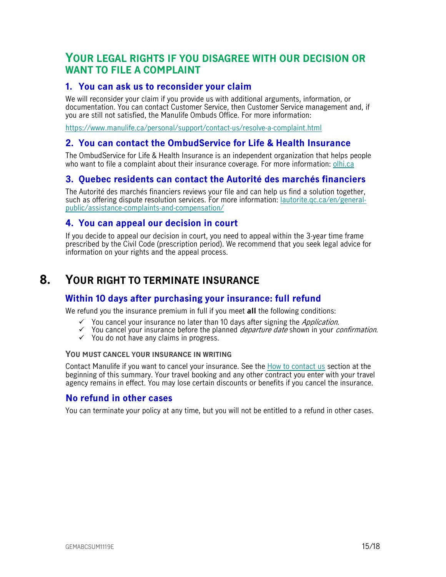### <span id="page-14-1"></span>**YOUR LEGAL RIGHTS IF YOU DISAGREE WITH OUR DECISION OR WANT TO FILE A COMPLAINT**

#### <span id="page-14-2"></span>**1. You can ask us to reconsider your claim**

We will reconsider your claim if you provide us with additional arguments, information, or documentation. You can contact Customer Service, then Customer Service management and, if you are still not satisfied, the Manulife Ombuds Office. For more information:

<https://www.manulife.ca/personal/support/contact-us/resolve-a-complaint.html>

#### <span id="page-14-3"></span>**2. You can contact the OmbudService for Life & Health Insurance**

The OmbudService for Life & Health Insurance is an independent organization that helps people who want to file a complaint about their insurance coverage. For more information: [olhi.ca](http://www.olhi.ca/)

#### <span id="page-14-4"></span>**3. Quebec residents can contact the Autorité des marchés financiers**

The Autorité des marchés financiers reviews your file and can help us find a solution together, such as offering dispute resolution services. For more information: [lautorite.qc.ca/en/general](https://lautorite.qc.ca/en/general-public/assistance-and-complaints/)[public/assistance-complaints-and-compensation/](https://lautorite.qc.ca/en/general-public/assistance-and-complaints/)

#### <span id="page-14-5"></span>**4. You can appeal our decision in court**

<span id="page-14-0"></span>If you decide to appeal our decision in court, you need to appeal within the 3-year time frame prescribed by the Civil Code (prescription period). We recommend that you seek legal advice for information on your rights and the appeal process.

### **8. YOUR RIGHT TO TERMINATE INSURANCE**

#### <span id="page-14-6"></span>**Within 10 days after purchasing your insurance: full refund**

We refund you the insurance premium in full if you meet **all** the following conditions:

- $\checkmark$  You cancel your insurance no later than 10 days after signing the *Application*.
- $\checkmark$  You cancel your insurance before the planned *departure date* shown in your *confirmation*.
- $\checkmark$  You do not have any claims in progress.

#### **YOU MUST CANCEL YOUR INSURANCE IN WRITING**

Contact Manulife if you want to cancel your insurance. See the [How to contact us](#page-1-0) section at the beginning of this summary. Your travel booking and any other contract you enter with your travel agency remains in effect. You may lose certain discounts or benefits if you cancel the insurance.

#### <span id="page-14-7"></span>**No refund in other cases**

You can terminate your policy at any time, but you will not be entitled to a refund in other cases.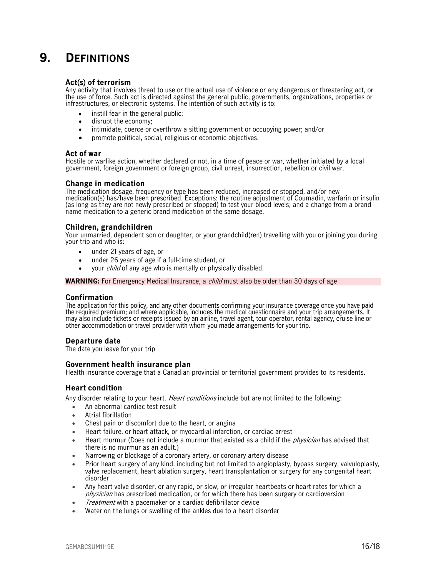## <span id="page-15-0"></span>**9. DEFINITIONS**

#### **Act(s) of terrorism**

Any activity that involves threat to use or the actual use of violence or any dangerous or threatening act, or the use of force. Such act is directed against the general public, governments, organizations, properties or infrastructures, or electronic systems. The intention of such activity is to:

- instill fear in the general public:
- disrupt the economy;
- intimidate, coerce or overthrow a sitting government or occupying power; and/or
- promote political, social, religious or economic objectives.

#### **Act of war**

Hostile or warlike action, whether declared or not, in a time of peace or war, whether initiated by a local government, foreign government or foreign group, civil unrest, insurrection, rebellion or civil war.

#### **Change in medication**

The medication dosage, frequency or type has been reduced, increased or stopped, and/or new medication(s) has/have been prescribed. Exceptions: the routine adjustment of Coumadin, warfarin or insulin (as long as they are not newly prescribed or stopped) to test your blood levels; and a change from a brand name medication to a generic brand medication of the same dosage.

#### **Children, grandchildren**

Your unmarried, dependent son or daughter, or your grandchild(ren) travelling with you or joining you during your trip and who is:

- under 21 years of age, or
- under 26 years of age if a full-time student, or
- your *child* of any age who is mentally or physically disabled.

**WARNING:** For Emergency Medical Insurance, a *child* must also be older than 30 days of age

#### **Confirmation**

The application for this policy, and any other documents confirming your insurance coverage once you have paid the required premium; and where applicable, includes the medical questionnaire and your trip arrangements. It may also include tickets or receipts issued by an airline, travel agent, tour operator, rental agency, cruise line or other accommodation or travel provider with whom you made arrangements for your trip.

#### **Departure date**

The date you leave for your trip

#### **Government health insurance plan**

Health insurance coverage that a Canadian provincial or territorial government provides to its residents.

#### **Heart condition**

Any disorder relating to your heart. *Heart conditions* include but are not limited to the following:

- An abnormal cardiac test result
- Atrial fibrillation
- Chest pain or discomfort due to the heart, or angina
- Heart failure, or heart attack, or myocardial infarction, or cardiac arrest
- Heart murmur (Does not include a murmur that existed as a child if the *physician* has advised that there is no murmur as an adult.)
- Narrowing or blockage of a coronary artery, or coronary artery disease
- Prior heart surgery of any kind, including but not limited to angioplasty, bypass surgery, valvuloplasty, valve replacement, heart ablation surgery, heart transplantation or surgery for any congenital heart disorder
- Any heart valve disorder, or any rapid, or slow, or irregular heartbeats or heart rates for which a physician has prescribed medication, or for which there has been surgery or cardioversion
- Treatment with a pacemaker or a cardiac defibrillator device
- Water on the lungs or swelling of the ankles due to a heart disorder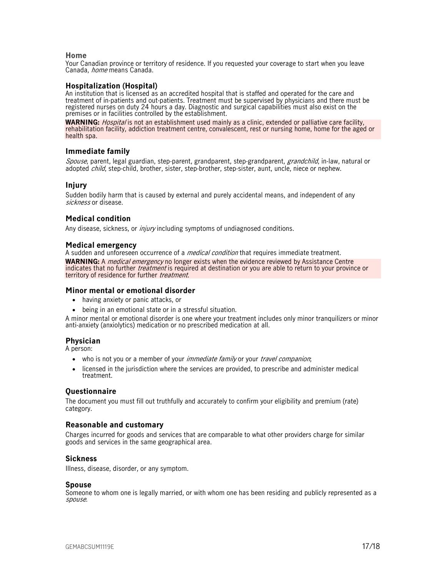#### **Home**

Your Canadian province or territory of residence. If you requested your coverage to start when you leave Canada, *home* means Canada.

#### **Hospitalization (Hospital)**

An institution that is licensed as an accredited hospital that is staffed and operated for the care and treatment of in-patients and out-patients. Treatment must be supervised by physicians and there must be registered nurses on duty 24 hours a day. Diagnostic and surgical capabilities must also exist on the premises or in facilities controlled by the establishment.

**WARNING:** Hospital is not an establishment used mainly as a clinic, extended or palliative care facility, rehabilitation facility, addiction treatment centre, convalescent, rest or nursing home, home for the aged or health spa.

#### **Immediate family**

Spouse, parent, legal guardian, step-parent, grandparent, step-grandparent, *grandchild*, in-law, natural or adopted child, step-child, brother, sister, step-brother, step-sister, aunt, uncle, niece or nephew.

#### **Injury**

Sudden bodily harm that is caused by external and purely accidental means, and independent of any sickness or disease.

#### **Medical condition**

Any disease, sickness, or *injury* including symptoms of undiagnosed conditions.

#### **Medical emergency**

A sudden and unforeseen occurrence of a *medical condition* that requires immediate treatment.

**WARNING:** A *medical emergency* no longer exists when the evidence reviewed by Assistance Centre indicates that no further *treatment* is required at destination or you are able to return to your province or territory of residence for further *treatment*.

#### **Minor mental or emotional disorder**

- having anxiety or panic attacks, or
- being in an emotional state or in a stressful situation.

A minor mental or emotional disorder is one where your treatment includes only minor tranquilizers or minor anti-anxiety (anxiolytics) medication or no prescribed medication at all.

#### **Physician**

A person:

- who is not you or a member of your *immediate family* or your *travel companion*;
- licensed in the jurisdiction where the services are provided, to prescribe and administer medical treatment.

#### **Questionnaire**

The document you must fill out truthfully and accurately to confirm your eligibility and premium (rate) category.

#### **Reasonable and customary**

Charges incurred for goods and services that are comparable to what other providers charge for similar goods and services in the same geographical area.

#### **Sickness**

Illness, disease, disorder, or any symptom.

#### **Spouse**

Someone to whom one is legally married, or with whom one has been residing and publicly represented as a spouse.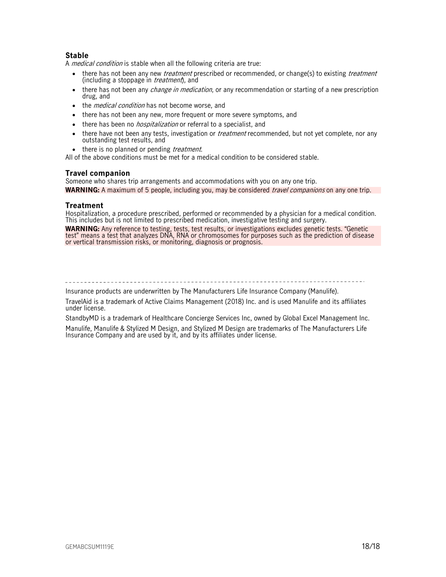#### **Stable**

A *medical condition* is stable when all the following criteria are true:

- there has not been any new *treatment* prescribed or recommended, or change(s) to existing *treatment* (including a stoppage in *treatment*), and
- there has not been any *change in medication*, or any recommendation or starting of a new prescription drug, and
- the *medical condition* has not become worse, and
- there has not been any new, more frequent or more severe symptoms, and
- there has been no *hospitalization* or referral to a specialist, and
- there have not been any tests, investigation or *treatment* recommended, but not yet complete, nor any outstanding test results, and
- there is no planned or pending *treatment*.

All of the above conditions must be met for a medical condition to be considered stable.

#### **Travel companion**

Someone who shares trip arrangements and accommodations with you on any one trip. WARNING: A maximum of 5 people, including you, may be considered *travel companions* on any one trip.

#### **Treatment**

Hospitalization, a procedure prescribed, performed or recommended by a physician for a medical condition. This includes but is not limited to prescribed medication, investigative testing and surgery.

**WARNING:** Any reference to testing, tests, test results, or investigations excludes genetic tests. "Genetic test" means a test that analyzes DNA, RNA or chromosomes for purposes such as the prediction of disease or vertical transmission risks, or monitoring, diagnosis or prognosis.

Insurance products are underwritten by The Manufacturers Life Insurance Company (Manulife).

TravelAid is a trademark of Active Claims Management (2018) Inc. and is used Manulife and its affiliates under license.

StandbyMD is a trademark of Healthcare Concierge Services Inc, owned by Global Excel Management Inc.

Manulife, Manulife & Stylized M Design, and Stylized M Design are trademarks of The Manufacturers Life Insurance Company and are used by it, and by its affiliates under license.